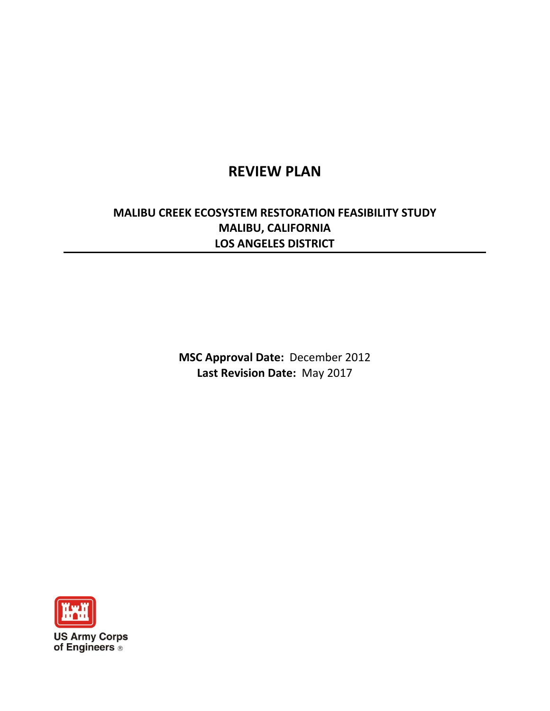# **REVIEW PLAN**

# **MALIBU CREEK ECOSYSTEM RESTORATION FEASIBILITY STUDY MALIBU, CALIFORNIA LOS ANGELES DISTRICT**

**MSC Approval Date:** December 2012 **Last Revision Date:** May 2017

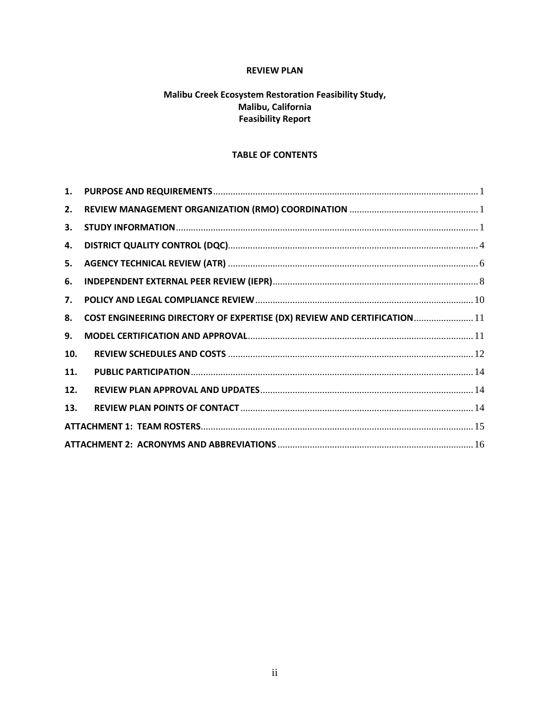## **REVIEW PLAN**

# Malibu Creek Ecosystem Restoration Feasibility Study, Malibu, California **Feasibility Report**

# **TABLE OF CONTENTS**

| 1.  |                                                                          |  |
|-----|--------------------------------------------------------------------------|--|
| 2.  |                                                                          |  |
| 3.  |                                                                          |  |
| 4.  |                                                                          |  |
| 5.  |                                                                          |  |
| 6.  |                                                                          |  |
| 7.  |                                                                          |  |
| 8.  | COST ENGINEERING DIRECTORY OF EXPERTISE (DX) REVIEW AND CERTIFICATION 11 |  |
| 9.  |                                                                          |  |
| 10. |                                                                          |  |
| 11. |                                                                          |  |
| 12. |                                                                          |  |
| 13. |                                                                          |  |
|     |                                                                          |  |
|     |                                                                          |  |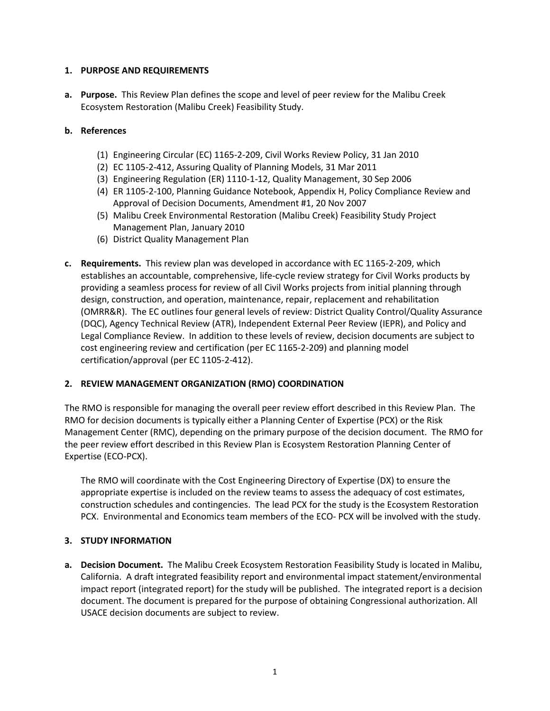## <span id="page-2-0"></span>**1. PURPOSE AND REQUIREMENTS**

**a. Purpose.** This Review Plan defines the scope and level of peer review for the Malibu Creek Ecosystem Restoration (Malibu Creek) Feasibility Study.

## **b. References**

- (1) Engineering Circular (EC) 1165-2-209, Civil Works Review Policy, 31 Jan 2010
- (2) EC 1105-2-412, Assuring Quality of Planning Models, 31 Mar 2011
- (3) Engineering Regulation (ER) 1110-1-12, Quality Management, 30 Sep 2006
- (4) ER 1105-2-100, Planning Guidance Notebook, Appendix H, Policy Compliance Review and Approval of Decision Documents, Amendment #1, 20 Nov 2007
- (5) Malibu Creek Environmental Restoration (Malibu Creek) Feasibility Study Project Management Plan, January 2010
- (6) District Quality Management Plan
- **c. Requirements.** This review plan was developed in accordance with EC 1165-2-209, which establishes an accountable, comprehensive, life-cycle review strategy for Civil Works products by providing a seamless process for review of all Civil Works projects from initial planning through design, construction, and operation, maintenance, repair, replacement and rehabilitation (OMRR&R). The EC outlines four general levels of review: District Quality Control/Quality Assurance (DQC), Agency Technical Review (ATR), Independent External Peer Review (IEPR), and Policy and Legal Compliance Review. In addition to these levels of review, decision documents are subject to cost engineering review and certification (per EC 1165-2-209) and planning model certification/approval (per EC 1105-2-412).

#### <span id="page-2-1"></span>**2. REVIEW MANAGEMENT ORGANIZATION (RMO) COORDINATION**

The RMO is responsible for managing the overall peer review effort described in this Review Plan. The RMO for decision documents is typically either a Planning Center of Expertise (PCX) or the Risk Management Center (RMC), depending on the primary purpose of the decision document. The RMO for the peer review effort described in this Review Plan is Ecosystem Restoration Planning Center of Expertise (ECO-PCX).

The RMO will coordinate with the Cost Engineering Directory of Expertise (DX) to ensure the appropriate expertise is included on the review teams to assess the adequacy of cost estimates, construction schedules and contingencies. The lead PCX for the study is the Ecosystem Restoration PCX. Environmental and Economics team members of the ECO- PCX will be involved with the study.

## <span id="page-2-2"></span>**3. STUDY INFORMATION**

**a. Decision Document.** The Malibu Creek Ecosystem Restoration Feasibility Study is located in Malibu, California. A draft integrated feasibility report and environmental impact statement/environmental impact report (integrated report) for the study will be published. The integrated report is a decision document. The document is prepared for the purpose of obtaining Congressional authorization. All USACE decision documents are subject to review.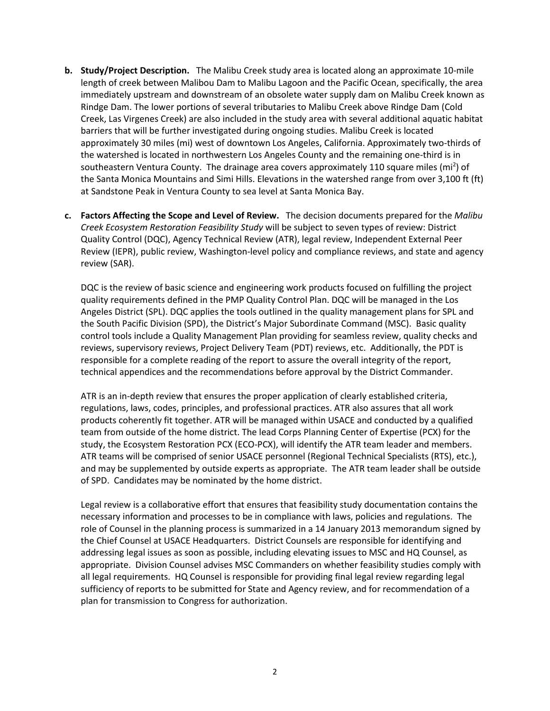- **b. Study/Project Description.** The Malibu Creek study area is located along an approximate 10-mile length of creek between Malibou Dam to Malibu Lagoon and the Pacific Ocean, specifically, the area immediately upstream and downstream of an obsolete water supply dam on Malibu Creek known as Rindge Dam. The lower portions of several tributaries to Malibu Creek above Rindge Dam (Cold Creek, Las Virgenes Creek) are also included in the study area with several additional aquatic habitat barriers that will be further investigated during ongoing studies. Malibu Creek is located approximately 30 miles (mi) west of downtown Los Angeles, California. Approximately two-thirds of the watershed is located in northwestern Los Angeles County and the remaining one-third is in southeastern Ventura County. The drainage area covers approximately 110 square miles (mi<sup>2</sup>) of the Santa Monica Mountains and Simi Hills. Elevations in the watershed range from over 3,100 ft (ft) at Sandstone Peak in Ventura County to sea level at Santa Monica Bay.
- **c. Factors Affecting the Scope and Level of Review.** The decision documents prepared for the *Malibu Creek Ecosystem Restoration Feasibility Study* will be subject to seven types of review: District Quality Control (DQC), Agency Technical Review (ATR), legal review, Independent External Peer Review (IEPR), public review, Washington-level policy and compliance reviews, and state and agency review (SAR).

DQC is the review of basic science and engineering work products focused on fulfilling the project quality requirements defined in the PMP Quality Control Plan. DQC will be managed in the Los Angeles District (SPL). DQC applies the tools outlined in the quality management plans for SPL and the South Pacific Division (SPD), the District's Major Subordinate Command (MSC). Basic quality control tools include a Quality Management Plan providing for seamless review, quality checks and reviews, supervisory reviews, Project Delivery Team (PDT) reviews, etc. Additionally, the PDT is responsible for a complete reading of the report to assure the overall integrity of the report, technical appendices and the recommendations before approval by the District Commander.

ATR is an in-depth review that ensures the proper application of clearly established criteria, regulations, laws, codes, principles, and professional practices. ATR also assures that all work products coherently fit together. ATR will be managed within USACE and conducted by a qualified team from outside of the home district. The lead Corps Planning Center of Expertise (PCX) for the study, the Ecosystem Restoration PCX (ECO-PCX), will identify the ATR team leader and members. ATR teams will be comprised of senior USACE personnel (Regional Technical Specialists (RTS), etc.), and may be supplemented by outside experts as appropriate. The ATR team leader shall be outside of SPD. Candidates may be nominated by the home district.

Legal review is a collaborative effort that ensures that feasibility study documentation contains the necessary information and processes to be in compliance with laws, policies and regulations. The role of Counsel in the planning process is summarized in a 14 January 2013 memorandum signed by the Chief Counsel at USACE Headquarters. District Counsels are responsible for identifying and addressing legal issues as soon as possible, including elevating issues to MSC and HQ Counsel, as appropriate. Division Counsel advises MSC Commanders on whether feasibility studies comply with all legal requirements. HQ Counsel is responsible for providing final legal review regarding legal sufficiency of reports to be submitted for State and Agency review, and for recommendation of a plan for transmission to Congress for authorization.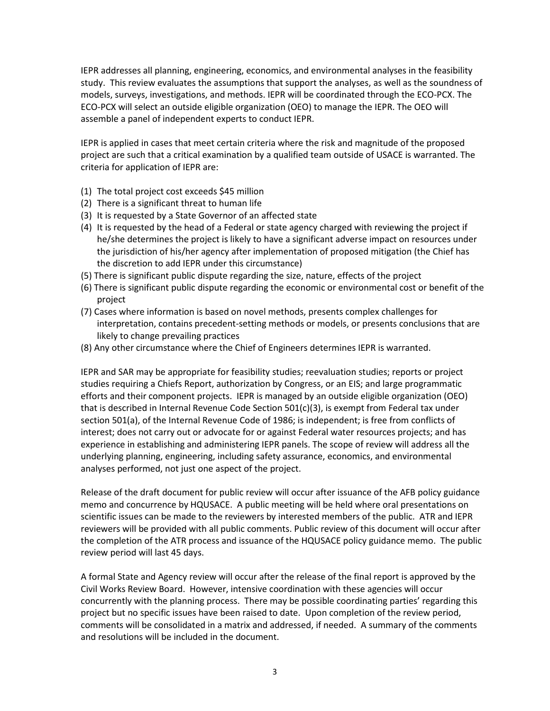IEPR addresses all planning, engineering, economics, and environmental analyses in the feasibility study. This review evaluates the assumptions that support the analyses, as well as the soundness of models, surveys, investigations, and methods. IEPR will be coordinated through the ECO-PCX. The ECO-PCX will select an outside eligible organization (OEO) to manage the IEPR. The OEO will assemble a panel of independent experts to conduct IEPR.

IEPR is applied in cases that meet certain criteria where the risk and magnitude of the proposed project are such that a critical examination by a qualified team outside of USACE is warranted. The criteria for application of IEPR are:

- (1) The total project cost exceeds \$45 million
- (2) There is a significant threat to human life
- (3) It is requested by a State Governor of an affected state
- (4) It is requested by the head of a Federal or state agency charged with reviewing the project if he/she determines the project is likely to have a significant adverse impact on resources under the jurisdiction of his/her agency after implementation of proposed mitigation (the Chief has the discretion to add IEPR under this circumstance)
- (5) There is significant public dispute regarding the size, nature, effects of the project
- (6) There is significant public dispute regarding the economic or environmental cost or benefit of the project
- (7) Cases where information is based on novel methods, presents complex challenges for interpretation, contains precedent-setting methods or models, or presents conclusions that are likely to change prevailing practices
- (8) Any other circumstance where the Chief of Engineers determines IEPR is warranted.

IEPR and SAR may be appropriate for feasibility studies; reevaluation studies; reports or project studies requiring a Chiefs Report, authorization by Congress, or an EIS; and large programmatic efforts and their component projects. IEPR is managed by an outside eligible organization (OEO) that is described in Internal Revenue Code Section 501(c)(3), is exempt from Federal tax under section 501(a), of the Internal Revenue Code of 1986; is independent; is free from conflicts of interest; does not carry out or advocate for or against Federal water resources projects; and has experience in establishing and administering IEPR panels. The scope of review will address all the underlying planning, engineering, including safety assurance, economics, and environmental analyses performed, not just one aspect of the project.

Release of the draft document for public review will occur after issuance of the AFB policy guidance memo and concurrence by HQUSACE. A public meeting will be held where oral presentations on scientific issues can be made to the reviewers by interested members of the public. ATR and IEPR reviewers will be provided with all public comments. Public review of this document will occur after the completion of the ATR process and issuance of the HQUSACE policy guidance memo. The public review period will last 45 days.

A formal State and Agency review will occur after the release of the final report is approved by the Civil Works Review Board. However, intensive coordination with these agencies will occur concurrently with the planning process. There may be possible coordinating parties' regarding this project but no specific issues have been raised to date. Upon completion of the review period, comments will be consolidated in a matrix and addressed, if needed. A summary of the comments and resolutions will be included in the document.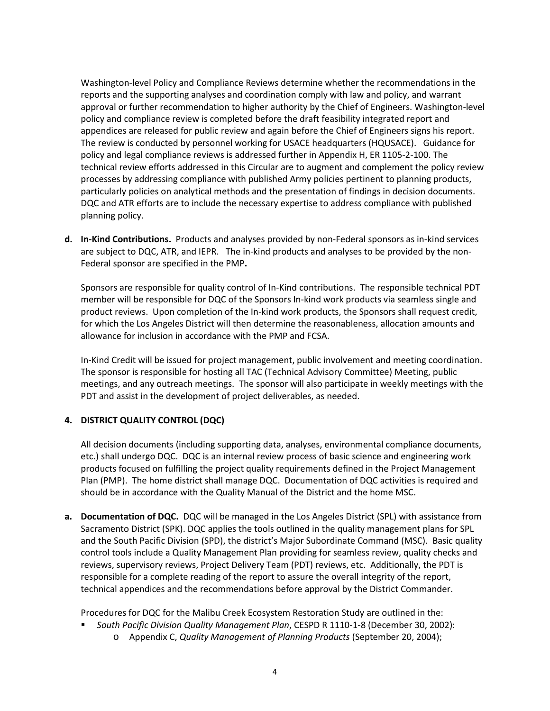Washington-level Policy and Compliance Reviews determine whether the recommendations in the reports and the supporting analyses and coordination comply with law and policy, and warrant approval or further recommendation to higher authority by the Chief of Engineers. Washington-level policy and compliance review is completed before the draft feasibility integrated report and appendices are released for public review and again before the Chief of Engineers signs his report. The review is conducted by personnel working for USACE headquarters (HQUSACE). Guidance for policy and legal compliance reviews is addressed further in Appendix H, ER 1105-2-100. The technical review efforts addressed in this Circular are to augment and complement the policy review processes by addressing compliance with published Army policies pertinent to planning products, particularly policies on analytical methods and the presentation of findings in decision documents. DQC and ATR efforts are to include the necessary expertise to address compliance with published planning policy.

**d. In-Kind Contributions.** Products and analyses provided by non-Federal sponsors as in-kind services are subject to DQC, ATR, and IEPR. The in-kind products and analyses to be provided by the non-Federal sponsor are specified in the PMP**.**

Sponsors are responsible for quality control of In-Kind contributions. The responsible technical PDT member will be responsible for DQC of the Sponsors In-kind work products via seamless single and product reviews. Upon completion of the In-kind work products, the Sponsors shall request credit, for which the Los Angeles District will then determine the reasonableness, allocation amounts and allowance for inclusion in accordance with the PMP and FCSA.

In-Kind Credit will be issued for project management, public involvement and meeting coordination. The sponsor is responsible for hosting all TAC (Technical Advisory Committee) Meeting, public meetings, and any outreach meetings. The sponsor will also participate in weekly meetings with the PDT and assist in the development of project deliverables, as needed.

## <span id="page-5-0"></span>**4. DISTRICT QUALITY CONTROL (DQC)**

All decision documents (including supporting data, analyses, environmental compliance documents, etc.) shall undergo DQC. DQC is an internal review process of basic science and engineering work products focused on fulfilling the project quality requirements defined in the Project Management Plan (PMP). The home district shall manage DQC. Documentation of DQC activities is required and should be in accordance with the Quality Manual of the District and the home MSC.

**a. Documentation of DQC.** DQC will be managed in the Los Angeles District (SPL) with assistance from Sacramento District (SPK). DQC applies the tools outlined in the quality management plans for SPL and the South Pacific Division (SPD), the district's Major Subordinate Command (MSC). Basic quality control tools include a Quality Management Plan providing for seamless review, quality checks and reviews, supervisory reviews, Project Delivery Team (PDT) reviews, etc. Additionally, the PDT is responsible for a complete reading of the report to assure the overall integrity of the report, technical appendices and the recommendations before approval by the District Commander.

Procedures for DQC for the Malibu Creek Ecosystem Restoration Study are outlined in the:

- *South Pacific Division Quality Management Plan*, CESPD R 1110-1-8 (December 30, 2002):
	- o Appendix C, *Quality Management of Planning Products* (September 20, 2004);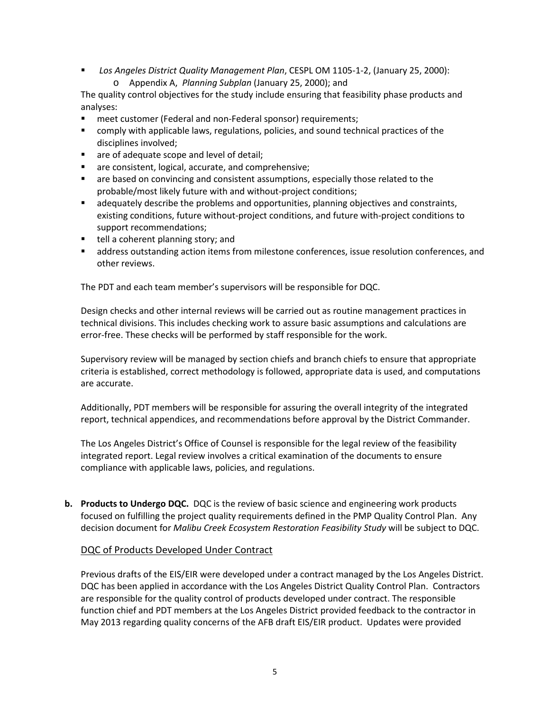- *Los Angeles District Quality Management Plan*, CESPL OM 1105-1-2, (January 25, 2000):
	- o Appendix A, *Planning Subplan* (January 25, 2000); and

The quality control objectives for the study include ensuring that feasibility phase products and analyses:

- meet customer (Federal and non-Federal sponsor) requirements;
- comply with applicable laws, regulations, policies, and sound technical practices of the disciplines involved;
- **a** are of adequate scope and level of detail;
- **a** are consistent, logical, accurate, and comprehensive;
- are based on convincing and consistent assumptions, especially those related to the probable/most likely future with and without-project conditions;
- adequately describe the problems and opportunities, planning objectives and constraints, existing conditions, future without-project conditions, and future with-project conditions to support recommendations;
- tell a coherent planning story; and
- address outstanding action items from milestone conferences, issue resolution conferences, and other reviews.

The PDT and each team member's supervisors will be responsible for DQC.

Design checks and other internal reviews will be carried out as routine management practices in technical divisions. This includes checking work to assure basic assumptions and calculations are error-free. These checks will be performed by staff responsible for the work.

Supervisory review will be managed by section chiefs and branch chiefs to ensure that appropriate criteria is established, correct methodology is followed, appropriate data is used, and computations are accurate.

Additionally, PDT members will be responsible for assuring the overall integrity of the integrated report, technical appendices, and recommendations before approval by the District Commander.

The Los Angeles District's Office of Counsel is responsible for the legal review of the feasibility integrated report. Legal review involves a critical examination of the documents to ensure compliance with applicable laws, policies, and regulations.

**b. Products to Undergo DQC.** DQC is the review of basic science and engineering work products focused on fulfilling the project quality requirements defined in the PMP Quality Control Plan. Any decision document for *Malibu Creek Ecosystem Restoration Feasibility Study* will be subject to DQC.

#### DQC of Products Developed Under Contract

Previous drafts of the EIS/EIR were developed under a contract managed by the Los Angeles District. DQC has been applied in accordance with the Los Angeles District Quality Control Plan. Contractors are responsible for the quality control of products developed under contract. The responsible function chief and PDT members at the Los Angeles District provided feedback to the contractor in May 2013 regarding quality concerns of the AFB draft EIS/EIR product. Updates were provided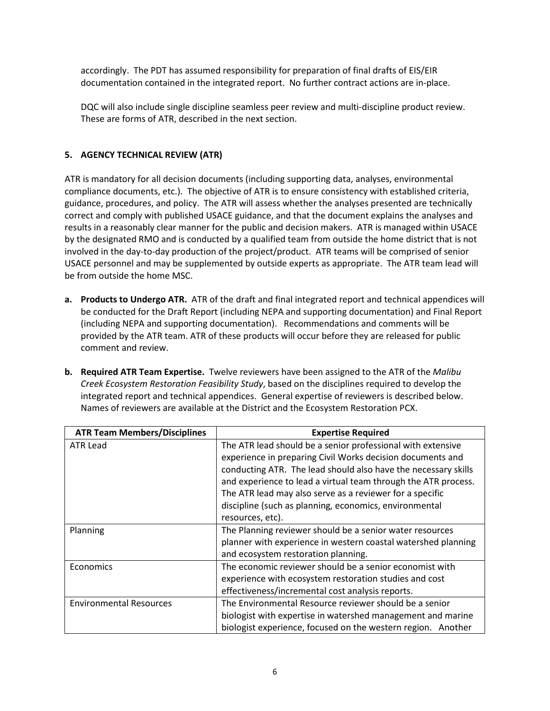accordingly. The PDT has assumed responsibility for preparation of final drafts of EIS/EIR documentation contained in the integrated report. No further contract actions are in-place.

DQC will also include single discipline seamless peer review and multi-discipline product review. These are forms of ATR, described in the next section.

## <span id="page-7-0"></span>**5. AGENCY TECHNICAL REVIEW (ATR)**

ATR is mandatory for all decision documents (including supporting data, analyses, environmental compliance documents, etc.). The objective of ATR is to ensure consistency with established criteria, guidance, procedures, and policy. The ATR will assess whether the analyses presented are technically correct and comply with published USACE guidance, and that the document explains the analyses and results in a reasonably clear manner for the public and decision makers. ATR is managed within USACE by the designated RMO and is conducted by a qualified team from outside the home district that is not involved in the day-to-day production of the project/product. ATR teams will be comprised of senior USACE personnel and may be supplemented by outside experts as appropriate. The ATR team lead will be from outside the home MSC.

- **a. Products to Undergo ATR.** ATR of the draft and final integrated report and technical appendices will be conducted for the Draft Report (including NEPA and supporting documentation) and Final Report (including NEPA and supporting documentation). Recommendations and comments will be provided by the ATR team. ATR of these products will occur before they are released for public comment and review.
- **b. Required ATR Team Expertise.** Twelve reviewers have been assigned to the ATR of the *Malibu Creek Ecosystem Restoration Feasibility Study*, based on the disciplines required to develop the integrated report and technical appendices. General expertise of reviewers is described below. Names of reviewers are available at the District and the Ecosystem Restoration PCX.

| <b>ATR Team Members/Disciplines</b> | <b>Expertise Required</b>                                      |  |  |
|-------------------------------------|----------------------------------------------------------------|--|--|
| <b>ATR Lead</b>                     | The ATR lead should be a senior professional with extensive    |  |  |
|                                     | experience in preparing Civil Works decision documents and     |  |  |
|                                     | conducting ATR. The lead should also have the necessary skills |  |  |
|                                     | and experience to lead a virtual team through the ATR process. |  |  |
|                                     | The ATR lead may also serve as a reviewer for a specific       |  |  |
|                                     | discipline (such as planning, economics, environmental         |  |  |
|                                     | resources, etc).                                               |  |  |
| Planning                            | The Planning reviewer should be a senior water resources       |  |  |
|                                     | planner with experience in western coastal watershed planning  |  |  |
|                                     | and ecosystem restoration planning.                            |  |  |
| Economics                           | The economic reviewer should be a senior economist with        |  |  |
|                                     | experience with ecosystem restoration studies and cost         |  |  |
|                                     | effectiveness/incremental cost analysis reports.               |  |  |
| <b>Environmental Resources</b>      | The Environmental Resource reviewer should be a senior         |  |  |
|                                     | biologist with expertise in watershed management and marine    |  |  |
|                                     | biologist experience, focused on the western region. Another   |  |  |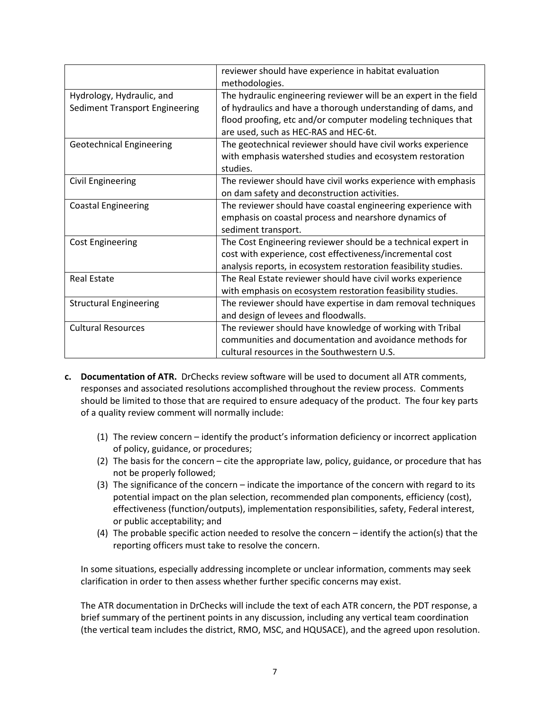|                                 | reviewer should have experience in habitat evaluation             |  |  |
|---------------------------------|-------------------------------------------------------------------|--|--|
|                                 | methodologies.                                                    |  |  |
| Hydrology, Hydraulic, and       | The hydraulic engineering reviewer will be an expert in the field |  |  |
| Sediment Transport Engineering  | of hydraulics and have a thorough understanding of dams, and      |  |  |
|                                 | flood proofing, etc and/or computer modeling techniques that      |  |  |
|                                 | are used, such as HEC-RAS and HEC-6t.                             |  |  |
| <b>Geotechnical Engineering</b> | The geotechnical reviewer should have civil works experience      |  |  |
|                                 | with emphasis watershed studies and ecosystem restoration         |  |  |
|                                 | studies.                                                          |  |  |
| <b>Civil Engineering</b>        | The reviewer should have civil works experience with emphasis     |  |  |
|                                 | on dam safety and deconstruction activities.                      |  |  |
| <b>Coastal Engineering</b>      | The reviewer should have coastal engineering experience with      |  |  |
|                                 | emphasis on coastal process and nearshore dynamics of             |  |  |
|                                 | sediment transport.                                               |  |  |
| <b>Cost Engineering</b>         | The Cost Engineering reviewer should be a technical expert in     |  |  |
|                                 | cost with experience, cost effectiveness/incremental cost         |  |  |
|                                 | analysis reports, in ecosystem restoration feasibility studies.   |  |  |
| <b>Real Estate</b>              | The Real Estate reviewer should have civil works experience       |  |  |
|                                 | with emphasis on ecosystem restoration feasibility studies.       |  |  |
| <b>Structural Engineering</b>   | The reviewer should have expertise in dam removal techniques      |  |  |
|                                 | and design of levees and floodwalls.                              |  |  |
| <b>Cultural Resources</b>       | The reviewer should have knowledge of working with Tribal         |  |  |
|                                 | communities and documentation and avoidance methods for           |  |  |
|                                 | cultural resources in the Southwestern U.S.                       |  |  |

- **c. Documentation of ATR.** DrChecks review software will be used to document all ATR comments, responses and associated resolutions accomplished throughout the review process. Comments should be limited to those that are required to ensure adequacy of the product. The four key parts of a quality review comment will normally include:
	- (1) The review concern identify the product's information deficiency or incorrect application of policy, guidance, or procedures;
	- (2) The basis for the concern cite the appropriate law, policy, guidance, or procedure that has not be properly followed;
	- (3) The significance of the concern indicate the importance of the concern with regard to its potential impact on the plan selection, recommended plan components, efficiency (cost), effectiveness (function/outputs), implementation responsibilities, safety, Federal interest, or public acceptability; and
	- (4) The probable specific action needed to resolve the concern identify the action(s) that the reporting officers must take to resolve the concern.

In some situations, especially addressing incomplete or unclear information, comments may seek clarification in order to then assess whether further specific concerns may exist.

The ATR documentation in DrChecks will include the text of each ATR concern, the PDT response, a brief summary of the pertinent points in any discussion, including any vertical team coordination (the vertical team includes the district, RMO, MSC, and HQUSACE), and the agreed upon resolution.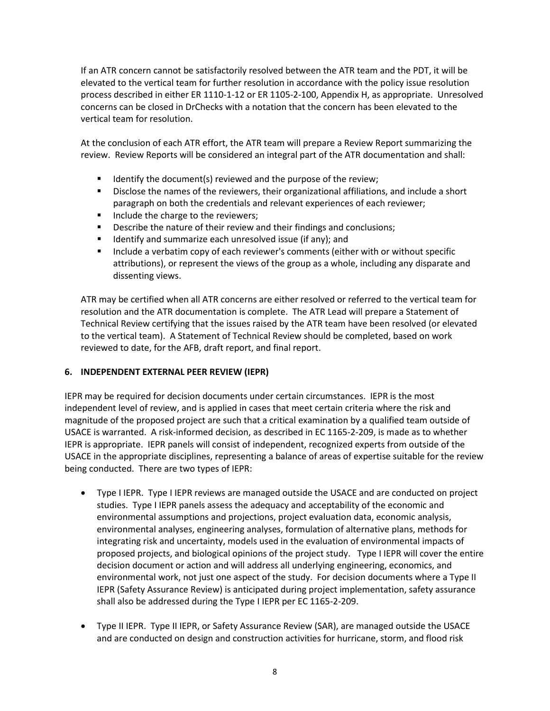If an ATR concern cannot be satisfactorily resolved between the ATR team and the PDT, it will be elevated to the vertical team for further resolution in accordance with the policy issue resolution process described in either ER 1110-1-12 or ER 1105-2-100, Appendix H, as appropriate. Unresolved concerns can be closed in DrChecks with a notation that the concern has been elevated to the vertical team for resolution.

At the conclusion of each ATR effort, the ATR team will prepare a Review Report summarizing the review. Review Reports will be considered an integral part of the ATR documentation and shall:

- $\blacksquare$  Identify the document(s) reviewed and the purpose of the review;
- Disclose the names of the reviewers, their organizational affiliations, and include a short paragraph on both the credentials and relevant experiences of each reviewer;
- Include the charge to the reviewers;
- **Describe the nature of their review and their findings and conclusions;**
- $\blacksquare$  Identify and summarize each unresolved issue (if any); and
- **Include a verbatim copy of each reviewer's comments (either with or without specific** attributions), or represent the views of the group as a whole, including any disparate and dissenting views.

ATR may be certified when all ATR concerns are either resolved or referred to the vertical team for resolution and the ATR documentation is complete. The ATR Lead will prepare a Statement of Technical Review certifying that the issues raised by the ATR team have been resolved (or elevated to the vertical team). A Statement of Technical Review should be completed, based on work reviewed to date, for the AFB, draft report, and final report.

## <span id="page-9-0"></span>**6. INDEPENDENT EXTERNAL PEER REVIEW (IEPR)**

IEPR may be required for decision documents under certain circumstances. IEPR is the most independent level of review, and is applied in cases that meet certain criteria where the risk and magnitude of the proposed project are such that a critical examination by a qualified team outside of USACE is warranted. A risk-informed decision, as described in EC 1165-2-209, is made as to whether IEPR is appropriate. IEPR panels will consist of independent, recognized experts from outside of the USACE in the appropriate disciplines, representing a balance of areas of expertise suitable for the review being conducted. There are two types of IEPR:

- Type I IEPR. Type I IEPR reviews are managed outside the USACE and are conducted on project studies. Type I IEPR panels assess the adequacy and acceptability of the economic and environmental assumptions and projections, project evaluation data, economic analysis, environmental analyses, engineering analyses, formulation of alternative plans, methods for integrating risk and uncertainty, models used in the evaluation of environmental impacts of proposed projects, and biological opinions of the project study. Type I IEPR will cover the entire decision document or action and will address all underlying engineering, economics, and environmental work, not just one aspect of the study. For decision documents where a Type II IEPR (Safety Assurance Review) is anticipated during project implementation, safety assurance shall also be addressed during the Type I IEPR per EC 1165-2-209.
- Type II IEPR. Type II IEPR, or Safety Assurance Review (SAR), are managed outside the USACE and are conducted on design and construction activities for hurricane, storm, and flood risk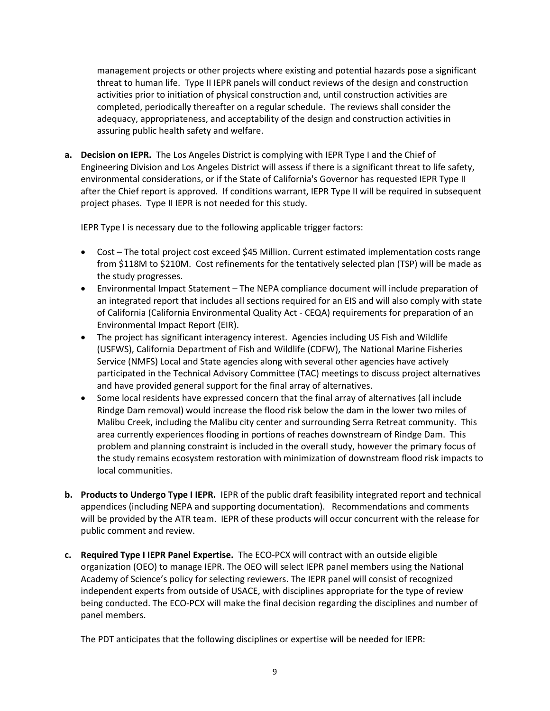management projects or other projects where existing and potential hazards pose a significant threat to human life. Type II IEPR panels will conduct reviews of the design and construction activities prior to initiation of physical construction and, until construction activities are completed, periodically thereafter on a regular schedule. The reviews shall consider the adequacy, appropriateness, and acceptability of the design and construction activities in assuring public health safety and welfare.

**a. Decision on IEPR.** The Los Angeles District is complying with IEPR Type I and the Chief of Engineering Division and Los Angeles District will assess if there is a significant threat to life safety, environmental considerations, or if the State of California's Governor has requested IEPR Type II after the Chief report is approved. If conditions warrant, IEPR Type II will be required in subsequent project phases. Type II IEPR is not needed for this study.

IEPR Type I is necessary due to the following applicable trigger factors:

- Cost The total project cost exceed \$45 Million. Current estimated implementation costs range from \$118M to \$210M. Cost refinements for the tentatively selected plan (TSP) will be made as the study progresses.
- Environmental Impact Statement The NEPA compliance document will include preparation of an integrated report that includes all sections required for an EIS and will also comply with state of California (California Environmental Quality Act - CEQA) requirements for preparation of an Environmental Impact Report (EIR).
- The project has significant interagency interest. Agencies including US Fish and Wildlife (USFWS), California Department of Fish and Wildlife (CDFW), The National Marine Fisheries Service (NMFS) Local and State agencies along with several other agencies have actively participated in the Technical Advisory Committee (TAC) meetings to discuss project alternatives and have provided general support for the final array of alternatives.
- Some local residents have expressed concern that the final array of alternatives (all include Rindge Dam removal) would increase the flood risk below the dam in the lower two miles of Malibu Creek, including the Malibu city center and surrounding Serra Retreat community. This area currently experiences flooding in portions of reaches downstream of Rindge Dam. This problem and planning constraint is included in the overall study, however the primary focus of the study remains ecosystem restoration with minimization of downstream flood risk impacts to local communities.
- **b. Products to Undergo Type I IEPR.** IEPR of the public draft feasibility integrated report and technical appendices (including NEPA and supporting documentation). Recommendations and comments will be provided by the ATR team. IEPR of these products will occur concurrent with the release for public comment and review.
- **c. Required Type I IEPR Panel Expertise.** The ECO-PCX will contract with an outside eligible organization (OEO) to manage IEPR. The OEO will select IEPR panel members using the National Academy of Science's policy for selecting reviewers. The IEPR panel will consist of recognized independent experts from outside of USACE, with disciplines appropriate for the type of review being conducted. The ECO-PCX will make the final decision regarding the disciplines and number of panel members.

The PDT anticipates that the following disciplines or expertise will be needed for IEPR: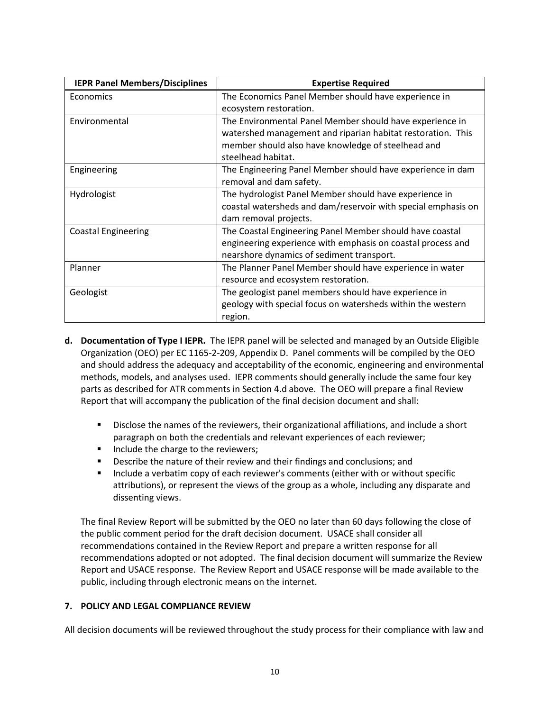| <b>IEPR Panel Members/Disciplines</b> | <b>Expertise Required</b>                                     |  |  |
|---------------------------------------|---------------------------------------------------------------|--|--|
| Economics                             | The Economics Panel Member should have experience in          |  |  |
|                                       | ecosystem restoration.                                        |  |  |
| Environmental                         | The Environmental Panel Member should have experience in      |  |  |
|                                       | watershed management and riparian habitat restoration. This   |  |  |
|                                       | member should also have knowledge of steelhead and            |  |  |
|                                       | steelhead habitat.                                            |  |  |
| Engineering                           | The Engineering Panel Member should have experience in dam    |  |  |
|                                       | removal and dam safety.                                       |  |  |
| Hydrologist                           | The hydrologist Panel Member should have experience in        |  |  |
|                                       | coastal watersheds and dam/reservoir with special emphasis on |  |  |
|                                       | dam removal projects.                                         |  |  |
| <b>Coastal Engineering</b>            | The Coastal Engineering Panel Member should have coastal      |  |  |
|                                       | engineering experience with emphasis on coastal process and   |  |  |
|                                       | nearshore dynamics of sediment transport.                     |  |  |
| Planner                               | The Planner Panel Member should have experience in water      |  |  |
|                                       | resource and ecosystem restoration.                           |  |  |
| Geologist                             | The geologist panel members should have experience in         |  |  |
|                                       | geology with special focus on watersheds within the western   |  |  |
|                                       | region.                                                       |  |  |

- **d. Documentation of Type I IEPR.** The IEPR panel will be selected and managed by an Outside Eligible Organization (OEO) per EC 1165-2-209, Appendix D. Panel comments will be compiled by the OEO and should address the adequacy and acceptability of the economic, engineering and environmental methods, models, and analyses used. IEPR comments should generally include the same four key parts as described for ATR comments in Section 4.d above. The OEO will prepare a final Review Report that will accompany the publication of the final decision document and shall:
	- Disclose the names of the reviewers, their organizational affiliations, and include a short paragraph on both the credentials and relevant experiences of each reviewer;
	- Include the charge to the reviewers;
	- Describe the nature of their review and their findings and conclusions; and
	- **Include a verbatim copy of each reviewer's comments (either with or without specific** attributions), or represent the views of the group as a whole, including any disparate and dissenting views.

The final Review Report will be submitted by the OEO no later than 60 days following the close of the public comment period for the draft decision document. USACE shall consider all recommendations contained in the Review Report and prepare a written response for all recommendations adopted or not adopted. The final decision document will summarize the Review Report and USACE response. The Review Report and USACE response will be made available to the public, including through electronic means on the internet.

## <span id="page-11-0"></span>**7. POLICY AND LEGAL COMPLIANCE REVIEW**

All decision documents will be reviewed throughout the study process for their compliance with law and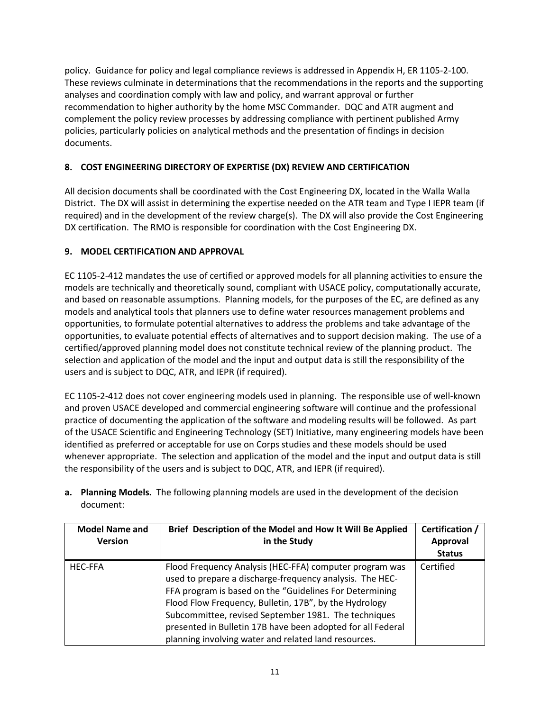policy. Guidance for policy and legal compliance reviews is addressed in Appendix H, ER 1105-2-100. These reviews culminate in determinations that the recommendations in the reports and the supporting analyses and coordination comply with law and policy, and warrant approval or further recommendation to higher authority by the home MSC Commander. DQC and ATR augment and complement the policy review processes by addressing compliance with pertinent published Army policies, particularly policies on analytical methods and the presentation of findings in decision documents.

# <span id="page-12-0"></span>**8. COST ENGINEERING DIRECTORY OF EXPERTISE (DX) REVIEW AND CERTIFICATION**

All decision documents shall be coordinated with the Cost Engineering DX, located in the Walla Walla District. The DX will assist in determining the expertise needed on the ATR team and Type I IEPR team (if required) and in the development of the review charge(s). The DX will also provide the Cost Engineering DX certification. The RMO is responsible for coordination with the Cost Engineering DX.

## <span id="page-12-1"></span>**9. MODEL CERTIFICATION AND APPROVAL**

EC 1105-2-412 mandates the use of certified or approved models for all planning activities to ensure the models are technically and theoretically sound, compliant with USACE policy, computationally accurate, and based on reasonable assumptions. Planning models, for the purposes of the EC, are defined as any models and analytical tools that planners use to define water resources management problems and opportunities, to formulate potential alternatives to address the problems and take advantage of the opportunities, to evaluate potential effects of alternatives and to support decision making. The use of a certified/approved planning model does not constitute technical review of the planning product. The selection and application of the model and the input and output data is still the responsibility of the users and is subject to DQC, ATR, and IEPR (if required).

EC 1105-2-412 does not cover engineering models used in planning. The responsible use of well-known and proven USACE developed and commercial engineering software will continue and the professional practice of documenting the application of the software and modeling results will be followed. As part of the USACE Scientific and Engineering Technology (SET) Initiative, many engineering models have been identified as preferred or acceptable for use on Corps studies and these models should be used whenever appropriate. The selection and application of the model and the input and output data is still the responsibility of the users and is subject to DQC, ATR, and IEPR (if required).

**a. Planning Models.** The following planning models are used in the development of the decision document:

| <b>Model Name and</b><br><b>Version</b> | Brief Description of the Model and How It Will Be Applied<br>in the Study                                                                                                                                                                                                                                                                                                                                               | Certification /<br>Approval |
|-----------------------------------------|-------------------------------------------------------------------------------------------------------------------------------------------------------------------------------------------------------------------------------------------------------------------------------------------------------------------------------------------------------------------------------------------------------------------------|-----------------------------|
|                                         |                                                                                                                                                                                                                                                                                                                                                                                                                         | <b>Status</b>               |
| <b>HEC-FFA</b>                          | Flood Frequency Analysis (HEC-FFA) computer program was<br>used to prepare a discharge-frequency analysis. The HEC-<br>FFA program is based on the "Guidelines For Determining<br>Flood Flow Frequency, Bulletin, 17B", by the Hydrology<br>Subcommittee, revised September 1981. The techniques<br>presented in Bulletin 17B have been adopted for all Federal<br>planning involving water and related land resources. | Certified                   |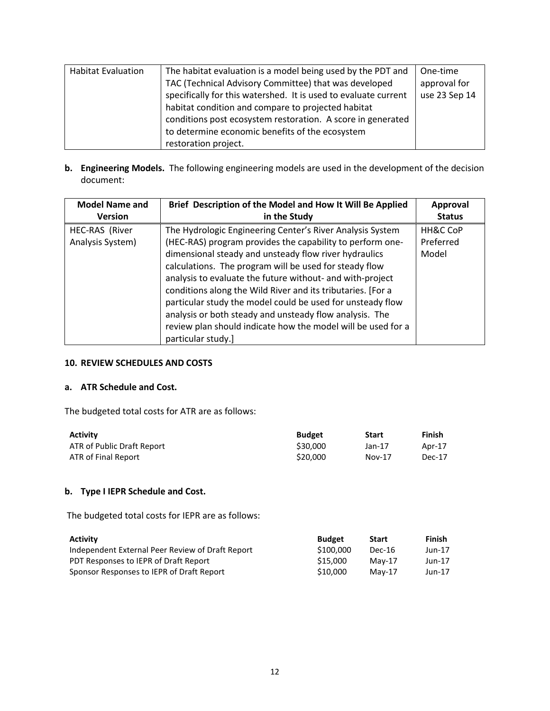| <b>Habitat Evaluation</b> | The habitat evaluation is a model being used by the PDT and     | One-time      |
|---------------------------|-----------------------------------------------------------------|---------------|
|                           |                                                                 |               |
|                           | TAC (Technical Advisory Committee) that was developed           | approval for  |
|                           | specifically for this watershed. It is used to evaluate current | use 23 Sep 14 |
|                           | habitat condition and compare to projected habitat              |               |
|                           | conditions post ecosystem restoration. A score in generated     |               |
|                           | to determine economic benefits of the ecosystem                 |               |
|                           | restoration project.                                            |               |

**b. Engineering Models.** The following engineering models are used in the development of the decision document:

| <b>Model Name and</b> | Brief Description of the Model and How It Will Be Applied    | Approval      |
|-----------------------|--------------------------------------------------------------|---------------|
| <b>Version</b>        | in the Study                                                 | <b>Status</b> |
| HEC-RAS (River        | The Hydrologic Engineering Center's River Analysis System    | HH&C CoP      |
| Analysis System)      | (HEC-RAS) program provides the capability to perform one-    | Preferred     |
|                       | dimensional steady and unsteady flow river hydraulics        | Model         |
|                       | calculations. The program will be used for steady flow       |               |
|                       | analysis to evaluate the future without- and with-project    |               |
|                       | conditions along the Wild River and its tributaries. [For a  |               |
|                       | particular study the model could be used for unsteady flow   |               |
|                       | analysis or both steady and unsteady flow analysis. The      |               |
|                       | review plan should indicate how the model will be used for a |               |
|                       | particular study.]                                           |               |

#### <span id="page-13-0"></span>**10. REVIEW SCHEDULES AND COSTS**

#### **a. ATR Schedule and Cost.**

The budgeted total costs for ATR are as follows:

| <b>Activity</b>            | <b>Budget</b> | <b>Start</b> | Finish |
|----------------------------|---------------|--------------|--------|
| ATR of Public Draft Report | \$30,000      | Jan-17       | Apr-17 |
| ATR of Final Report        | \$20,000      | $Nov-17$     | Dec-17 |

# **b. Type I IEPR Schedule and Cost.**

The budgeted total costs for IEPR are as follows:

| <b>Activity</b>                                  | <b>Budget</b> | <b>Start</b> | Finish   |
|--------------------------------------------------|---------------|--------------|----------|
| Independent External Peer Review of Draft Report | \$100,000     | Dec-16       | Jun-17   |
| PDT Responses to IEPR of Draft Report            | \$15,000      | $Mav-17$     | Jun-17   |
| Sponsor Responses to IEPR of Draft Report        | \$10,000      | $Mav-17$     | $Jun-17$ |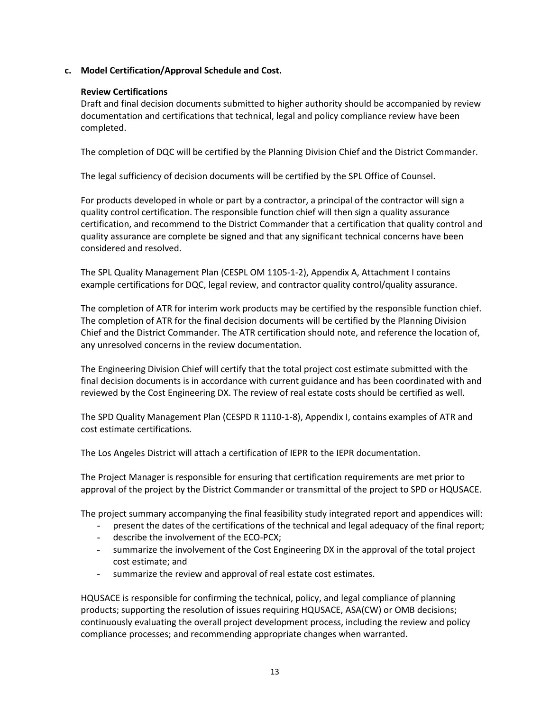## **c. Model Certification/Approval Schedule and Cost.**

### **Review Certifications**

Draft and final decision documents submitted to higher authority should be accompanied by review documentation and certifications that technical, legal and policy compliance review have been completed.

The completion of DQC will be certified by the Planning Division Chief and the District Commander.

The legal sufficiency of decision documents will be certified by the SPL Office of Counsel.

For products developed in whole or part by a contractor, a principal of the contractor will sign a quality control certification. The responsible function chief will then sign a quality assurance certification, and recommend to the District Commander that a certification that quality control and quality assurance are complete be signed and that any significant technical concerns have been considered and resolved.

The SPL Quality Management Plan (CESPL OM 1105-1-2), Appendix A, Attachment I contains example certifications for DQC, legal review, and contractor quality control/quality assurance.

The completion of ATR for interim work products may be certified by the responsible function chief. The completion of ATR for the final decision documents will be certified by the Planning Division Chief and the District Commander. The ATR certification should note, and reference the location of, any unresolved concerns in the review documentation.

The Engineering Division Chief will certify that the total project cost estimate submitted with the final decision documents is in accordance with current guidance and has been coordinated with and reviewed by the Cost Engineering DX. The review of real estate costs should be certified as well.

The SPD Quality Management Plan (CESPD R 1110-1-8), Appendix I, contains examples of ATR and cost estimate certifications.

The Los Angeles District will attach a certification of IEPR to the IEPR documentation.

The Project Manager is responsible for ensuring that certification requirements are met prior to approval of the project by the District Commander or transmittal of the project to SPD or HQUSACE.

The project summary accompanying the final feasibility study integrated report and appendices will:

- present the dates of the certifications of the technical and legal adequacy of the final report;
- describe the involvement of the ECO-PCX;
- summarize the involvement of the Cost Engineering DX in the approval of the total project cost estimate; and
- summarize the review and approval of real estate cost estimates.

HQUSACE is responsible for confirming the technical, policy, and legal compliance of planning products; supporting the resolution of issues requiring HQUSACE, ASA(CW) or OMB decisions; continuously evaluating the overall project development process, including the review and policy compliance processes; and recommending appropriate changes when warranted.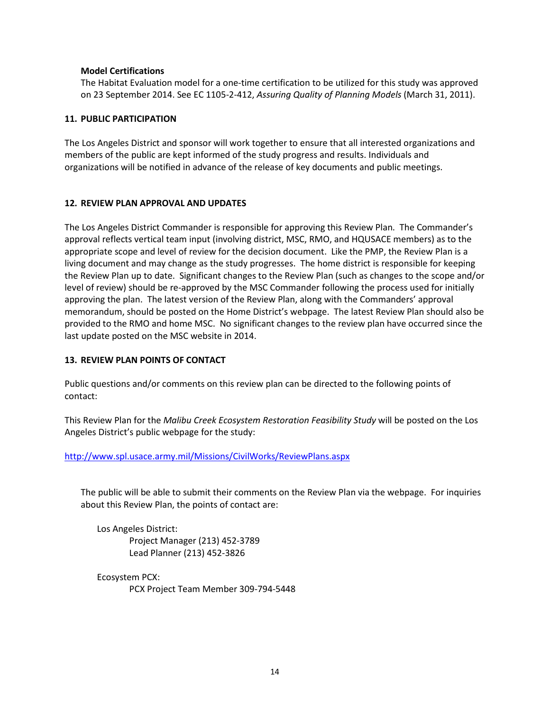#### **Model Certifications**

The Habitat Evaluation model for a one-time certification to be utilized for this study was approved on 23 September 2014. See EC 1105-2-412, *Assuring Quality of Planning Models* (March 31, 2011).

#### <span id="page-15-0"></span>**11. PUBLIC PARTICIPATION**

The Los Angeles District and sponsor will work together to ensure that all interested organizations and members of the public are kept informed of the study progress and results. Individuals and organizations will be notified in advance of the release of key documents and public meetings.

#### <span id="page-15-1"></span>**12. REVIEW PLAN APPROVAL AND UPDATES**

The Los Angeles District Commander is responsible for approving this Review Plan. The Commander's approval reflects vertical team input (involving district, MSC, RMO, and HQUSACE members) as to the appropriate scope and level of review for the decision document. Like the PMP, the Review Plan is a living document and may change as the study progresses. The home district is responsible for keeping the Review Plan up to date. Significant changes to the Review Plan (such as changes to the scope and/or level of review) should be re-approved by the MSC Commander following the process used for initially approving the plan. The latest version of the Review Plan, along with the Commanders' approval memorandum, should be posted on the Home District's webpage. The latest Review Plan should also be provided to the RMO and home MSC. No significant changes to the review plan have occurred since the last update posted on the MSC website in 2014.

#### <span id="page-15-2"></span>**13. REVIEW PLAN POINTS OF CONTACT**

Public questions and/or comments on this review plan can be directed to the following points of contact:

This Review Plan for the *Malibu Creek Ecosystem Restoration Feasibility Study* will be posted on the Los Angeles District's public webpage for the study:

#### <http://www.spl.usace.army.mil/Missions/CivilWorks/ReviewPlans.aspx>

The public will be able to submit their comments on the Review Plan via the webpage. For inquiries about this Review Plan, the points of contact are:

Los Angeles District: Project Manager (213) 452-3789 Lead Planner (213) 452-3826

Ecosystem PCX: PCX Project Team Member 309-794-5448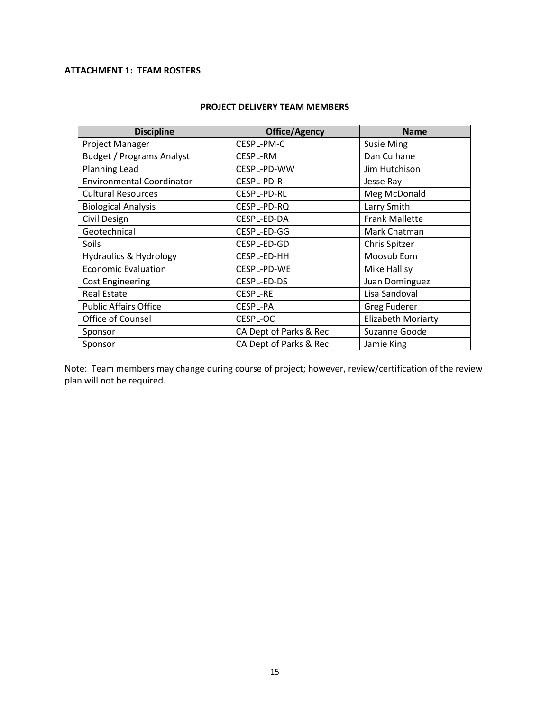# <span id="page-16-0"></span>**ATTACHMENT 1: TEAM ROSTERS**

| <b>Discipline</b>                 | Office/Agency          | <b>Name</b>               |
|-----------------------------------|------------------------|---------------------------|
| Project Manager                   | CESPL-PM-C             | <b>Susie Ming</b>         |
| <b>Budget / Programs Analyst</b>  | <b>CESPL-RM</b>        | Dan Culhane               |
| <b>Planning Lead</b>              | CESPL-PD-WW            | Jim Hutchison             |
| <b>Environmental Coordinator</b>  | CESPL-PD-R             | Jesse Ray                 |
| <b>Cultural Resources</b>         | CESPL-PD-RL            | Meg McDonald              |
| <b>Biological Analysis</b>        | CESPL-PD-RQ            | Larry Smith               |
| Civil Design                      | CESPL-ED-DA            | <b>Frank Mallette</b>     |
| Geotechnical                      | CESPL-ED-GG            | Mark Chatman              |
| <b>Soils</b>                      | CESPL-ED-GD            | Chris Spitzer             |
| <b>Hydraulics &amp; Hydrology</b> | CESPL-ED-HH            | Moosub Eom                |
| <b>Economic Evaluation</b>        | CESPL-PD-WE            | Mike Hallisy              |
| <b>Cost Engineering</b>           | CESPL-ED-DS            | Juan Dominguez            |
| <b>Real Estate</b>                | <b>CESPL-RE</b>        | Lisa Sandoval             |
| <b>Public Affairs Office</b>      | CESPL-PA               | <b>Greg Fuderer</b>       |
| Office of Counsel                 | CESPL-OC               | <b>Elizabeth Moriarty</b> |
| Sponsor                           | CA Dept of Parks & Rec | Suzanne Goode             |
| Sponsor                           | CA Dept of Parks & Rec | Jamie King                |

#### **PROJECT DELIVERY TEAM MEMBERS**

Note: Team members may change during course of project; however, review/certification of the review plan will not be required.